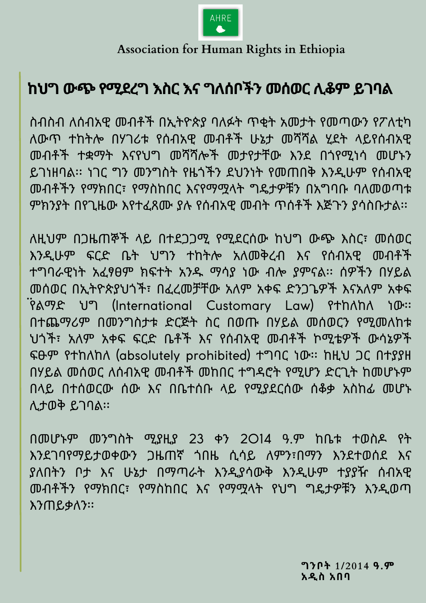ስብስብ ለሰብአዊ መብቶች በኢትዮጵያ ባለፉት ጥቂት አመታት የመጣውን የፖለቲካ ለውጥ ተከትሎ በሃገሪቱ የሰብአዊ መብቶች ሁኔታ መሻሻል ሂደት ላይየሰብአዊ መብቶች ተቋማት እናየህግ መሻሻሎች መታየታቸው እንደ በጎየሚነሳ መሆኑን ይገነዘባል፡፡ ነገር ግን መንግስት የዜጎችን ደህንነት የመጠበቅ እንዲሁም የሰብአዊ መብቶችን የማክበር፣ የማስከበር እናየማሟላት ግዴታዎቹን በአግባቡ ባለመወጣቱ ምክንያት በየጊዜው እየተፈጸሙ ያሉ የሰብአዊ መብት ጥሰቶች እጅጉን ያሳስቡታል፡፡

ለዚህም በጋዜጠኞች ላይ በተደጋጋሚ የሚደርሰው ከህግ ውጭ እስር፣ መሰወር እንዲሁም ፍርድ ቤት ህግን ተከትሎ አለመቅረብ እና የሰብአዊ መብቶች ተግባራዊነት አፈፃፀም ክፍተት አንዱ ማሳያ ነው ብሎ ያምናል፡፡ ሰዎችን በሃይል መሰወር በኢትዮጵያህጎች፣ በፈረመቻቸው አለም አቀፍ ድንጋጌዎች እናአለም አቀፍ ፟ የልማድ ህግ (International Customary Law) የተከለከለ ነው፡፡ በተጨማሪም በመንግስታቱ ድርጅት ስር በወጡ በሃይል መሰወርን የሚመለከቱ ህጎች፣ አለም አቀፍ ፍርድ ቤቶች እና የሰብአዊ መብቶች ኮሚቴዎች ውሳኔዎች ፍፁም የተከለከለ (absolutely prohibited) ተግባር ነው፡፡ ከዚህ ጋር በተያያዘ በሃይል መሰወር ለሰብአዊ መብቶች መከበር ተግዳሮት የሚሆን ድርጊት ከመሆኑም በላይ በተሰወርው ሰው እና በቤተሰቡ ላይ የሚያደርሰው ሰቆቃ አስከፊ መሆኑ ሊታወቅ ይገባል፡፡

በመሆኑም መንግስት ሚያዚያ 23 ቀን 2014 ዓ.ም ከቤቱ ተወስዶ የት እንደገባየማይታወቀውን ጋዜጠኛ ጎበዜ ሲሳይ ለምን፣በማን እንደተወሰደ እና ያለበትን ቦታ እና ሁኔታ በማጣራት እንዲያሳውቅ እንዲሁም ተያያዥ ሰብአዊ መብቶችን የማክበር፣ የማስከበር እና የማሟላት የህግ ግዴታዎቹን እንዲወጣ እንጠይቃለን፡፡

> **ግንቦት 1/2014 ዓ.ም አዲስ አበባ**

## **ከህግ ውጭ የሚደረግ እስር እና ግለሰቦችን መሰወር ሊቆም ይገባል**



**Association for Human Rights in Ethiopia**